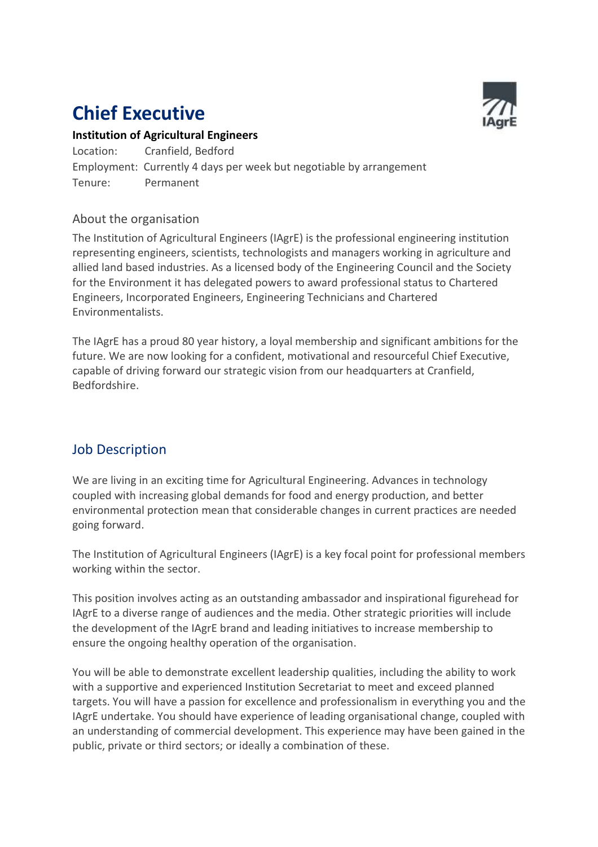# **Chief Executive**



## **Institution of Agricultural Engineers**

Location: Cranfield, Bedford Employment: Currently 4 days per week but negotiable by arrangement Tenure: Permanent

### About the organisation

The Institution of Agricultural Engineers (IAgrE) is the professional engineering institution representing engineers, scientists, technologists and managers working in agriculture and allied land based industries. As a licensed body of the Engineering Council and the Society for the Environment it has delegated powers to award professional status to Chartered Engineers, Incorporated Engineers, Engineering Technicians and Chartered Environmentalists.

The IAgrE has a proud 80 year history, a loyal membership and significant ambitions for the future. We are now looking for a confident, motivational and resourceful Chief Executive, capable of driving forward our strategic vision from our headquarters at Cranfield, Bedfordshire.

## Job Description

We are living in an exciting time for Agricultural Engineering. Advances in technology coupled with increasing global demands for food and energy production, and better environmental protection mean that considerable changes in current practices are needed going forward.

The Institution of Agricultural Engineers (IAgrE) is a key focal point for professional members working within the sector.

This position involves acting as an outstanding ambassador and inspirational figurehead for IAgrE to a diverse range of audiences and the media. Other strategic priorities will include the development of the IAgrE brand and leading initiatives to increase membership to ensure the ongoing healthy operation of the organisation.

You will be able to demonstrate excellent leadership qualities, including the ability to work with a supportive and experienced Institution Secretariat to meet and exceed planned targets. You will have a passion for excellence and professionalism in everything you and the IAgrE undertake. You should have experience of leading organisational change, coupled with an understanding of commercial development. This experience may have been gained in the public, private or third sectors; or ideally a combination of these.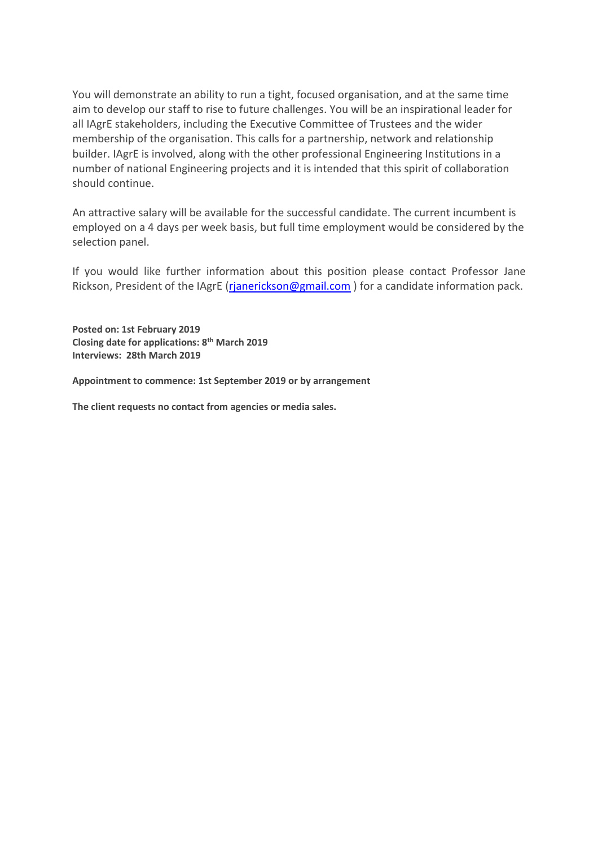You will demonstrate an ability to run a tight, focused organisation, and at the same time aim to develop our staff to rise to future challenges. You will be an inspirational leader for all IAgrE stakeholders, including the Executive Committee of Trustees and the wider membership of the organisation. This calls for a partnership, network and relationship builder. IAgrE is involved, along with the other professional Engineering Institutions in a number of national Engineering projects and it is intended that this spirit of collaboration should continue.

An attractive salary will be available for the successful candidate. The current incumbent is employed on a 4 days per week basis, but full time employment would be considered by the selection panel.

If you would like further information about this position please contact Professor Jane Rickson, President of the IAgrE (rianerickson@gmail.com) for a candidate information pack.

**Posted on: 1st February 2019 Closing date for applications: 8 th March 2019 Interviews: 28th March 2019**

**Appointment to commence: 1st September 2019 or by arrangement**

**The client requests no contact from agencies or media sales.**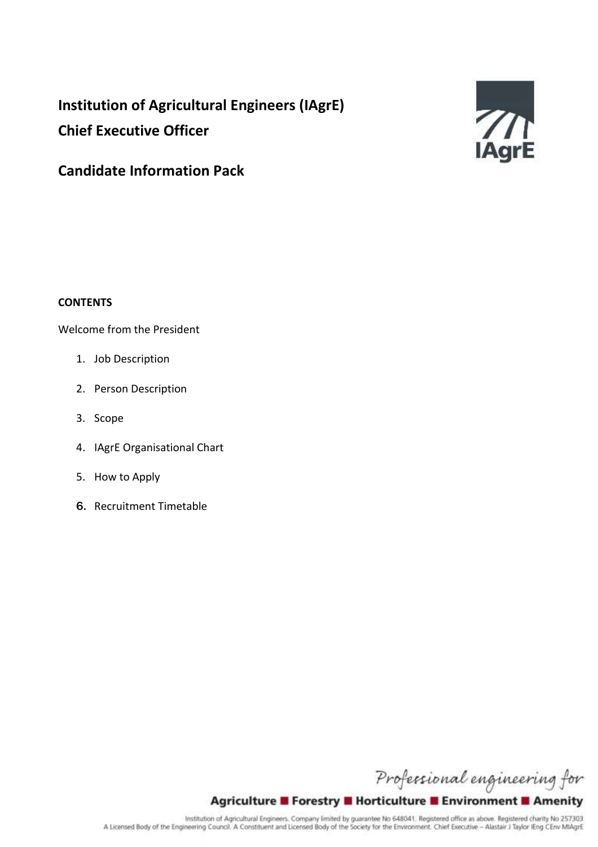## **Institution of Agricultural Engineers (IAgrE) Chief Executive Officer**



## **Candidate Information Pack**

#### **CONTENTS**

#### Welcome from the President

- 1. Job Description
- 2. Person Description
- 3. Scope
- 4. IAgrE Organisational Chart
- 5. How to Apply
- 6. Recruitment Timetable

Professional engineering for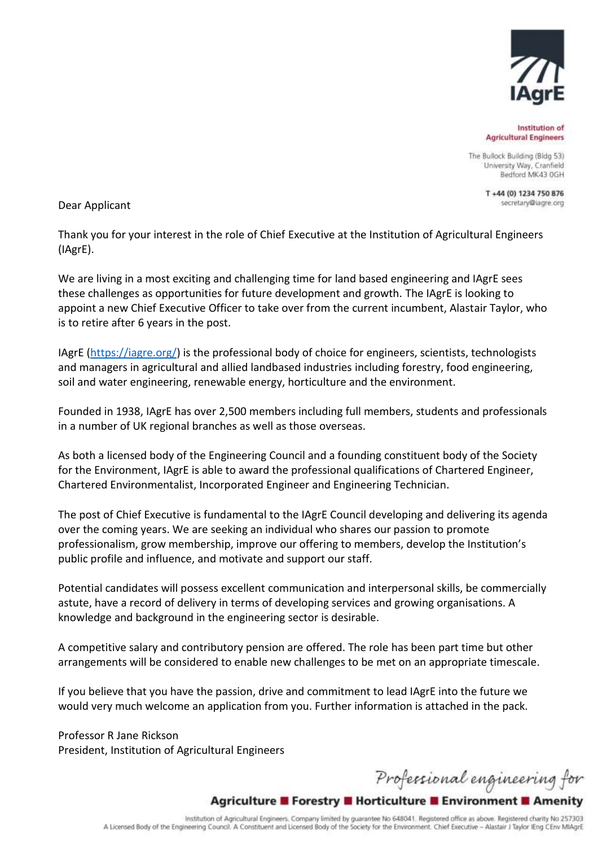

Institution of **Agricultural Engineers** 

The Bullock Building (Bldg 53) University Way, Cranfield Bedford MK43 0GH

> T+44 (0) 1234 750 876 secretary@iagre.org

Dear Applicant

Thank you for your interest in the role of Chief Executive at the Institution of Agricultural Engineers (IAgrE).

We are living in a most exciting and challenging time for land based engineering and IAgrE sees these challenges as opportunities for future development and growth. The IAgrE is looking to appoint a new Chief Executive Officer to take over from the current incumbent, Alastair Taylor, who is to retire after 6 years in the post.

IAgrE [\(https://iagre.org/\)](https://iagre.org/) is the professional body of choice for engineers, scientists, technologists and managers in agricultural and allied landbased industries including forestry, food engineering, soil and water engineering, renewable energy, horticulture and the environment.

Founded in 1938, IAgrE has over 2,500 members including full members, students and professionals in a number of UK regional branches as well as those overseas.

As both a licensed body of the Engineering Council and a founding constituent body of the Society for the Environment, IAgrE is able to award the professional qualifications of Chartered Engineer, Chartered Environmentalist, Incorporated Engineer and Engineering Technician.

The post of Chief Executive is fundamental to the IAgrE Council developing and delivering its agenda over the coming years. We are seeking an individual who shares our passion to promote professionalism, grow membership, improve our offering to members, develop the Institution's public profile and influence, and motivate and support our staff.

Potential candidates will possess excellent communication and interpersonal skills, be commercially astute, have a record of delivery in terms of developing services and growing organisations. A knowledge and background in the engineering sector is desirable.

A competitive salary and contributory pension are offered. The role has been part time but other arrangements will be considered to enable new challenges to be met on an appropriate timescale.

If you believe that you have the passion, drive and commitment to lead IAgrE into the future we would very much welcome an application from you. Further information is attached in the pack.

Professor R Jane Rickson President, Institution of Agricultural Engineers

Professional engineering for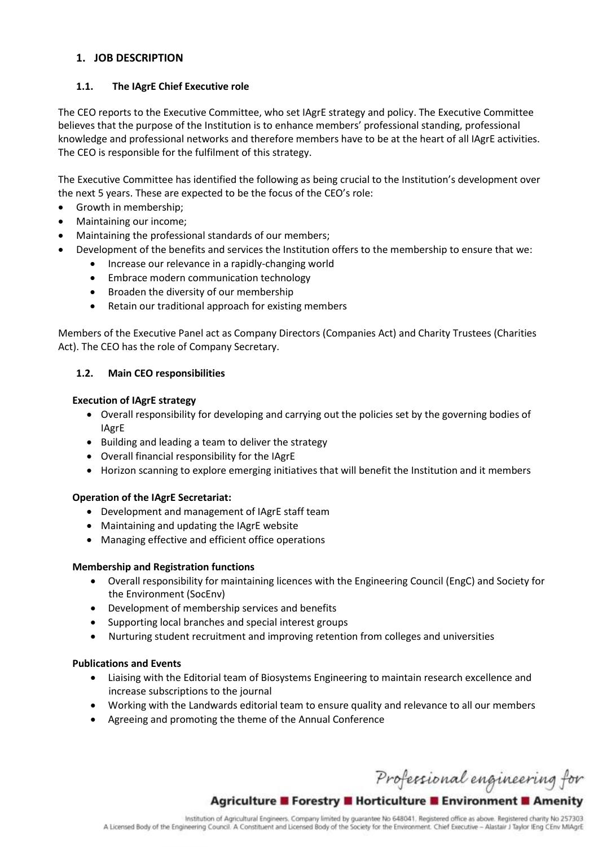#### **1. JOB DESCRIPTION**

#### **1.1. The IAgrE Chief Executive role**

The CEO reports to the Executive Committee, who set IAgrE strategy and policy. The Executive Committee believes that the purpose of the Institution is to enhance members' professional standing, professional knowledge and professional networks and therefore members have to be at the heart of all IAgrE activities. The CEO is responsible for the fulfilment of this strategy.

The Executive Committee has identified the following as being crucial to the Institution's development over the next 5 years. These are expected to be the focus of the CEO's role:

- Growth in membership;
- Maintaining our income;
- Maintaining the professional standards of our members;
- Development of the benefits and services the Institution offers to the membership to ensure that we:
	- Increase our relevance in a rapidly-changing world
	- **•** Embrace modern communication technology
	- Broaden the diversity of our membership
	- Retain our traditional approach for existing members

Members of the Executive Panel act as Company Directors (Companies Act) and Charity Trustees (Charities Act). The CEO has the role of Company Secretary.

#### **1.2. Main CEO responsibilities**

#### **Execution of IAgrE strategy**

- Overall responsibility for developing and carrying out the policies set by the governing bodies of IAgrE
- Building and leading a team to deliver the strategy
- Overall financial responsibility for the IAgrE
- Horizon scanning to explore emerging initiatives that will benefit the Institution and it members

#### **Operation of the IAgrE Secretariat:**

- Development and management of IAgrE staff team
- Maintaining and updating the IAgrE website
- Managing effective and efficient office operations

#### **Membership and Registration functions**

- Overall responsibility for maintaining licences with the Engineering Council (EngC) and Society for the Environment (SocEnv)
- Development of membership services and benefits
- Supporting local branches and special interest groups
- Nurturing student recruitment and improving retention from colleges and universities

#### **Publications and Events**

- Liaising with the Editorial team of Biosystems Engineering to maintain research excellence and increase subscriptions to the journal
- Working with the Landwards editorial team to ensure quality and relevance to all our members
- Agreeing and promoting the theme of the Annual Conference

Professional engineering for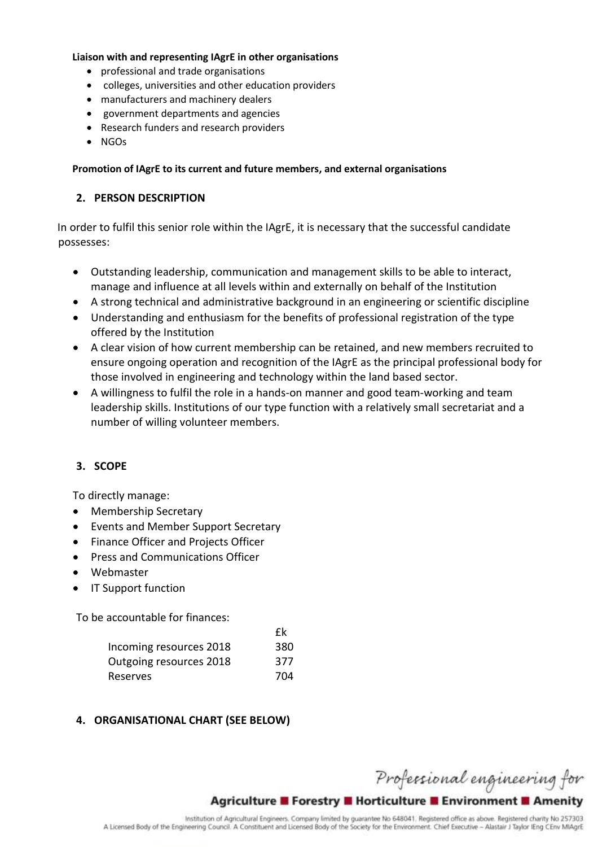#### **Liaison with and representing IAgrE in other organisations**

- professional and trade organisations
- colleges, universities and other education providers
- manufacturers and machinery dealers
- government departments and agencies
- Research funders and research providers
- NGOs

#### **Promotion of IAgrE to its current and future members, and external organisations**

#### **2. PERSON DESCRIPTION**

In order to fulfil this senior role within the IAgrE, it is necessary that the successful candidate possesses:

- Outstanding leadership, communication and management skills to be able to interact, manage and influence at all levels within and externally on behalf of the Institution
- A strong technical and administrative background in an engineering or scientific discipline
- Understanding and enthusiasm for the benefits of professional registration of the type offered by the Institution
- A clear vision of how current membership can be retained, and new members recruited to ensure ongoing operation and recognition of the IAgrE as the principal professional body for those involved in engineering and technology within the land based sector.
- A willingness to fulfil the role in a hands-on manner and good team-working and team leadership skills. Institutions of our type function with a relatively small secretariat and a number of willing volunteer members.

 $\mathbf{c}$ 

### **3. SCOPE**

To directly manage:

- Membership Secretary
- Events and Member Support Secretary
- Finance Officer and Projects Officer
- Press and Communications Officer
- Webmaster
- IT Support function

To be accountable for finances:

|                         | $\mathbf{r}$ |
|-------------------------|--------------|
| Incoming resources 2018 | 380          |
| Outgoing resources 2018 | 377          |
| Reserves                | 704          |

### **4. ORGANISATIONAL CHART (SEE BELOW)**

Professional engineering for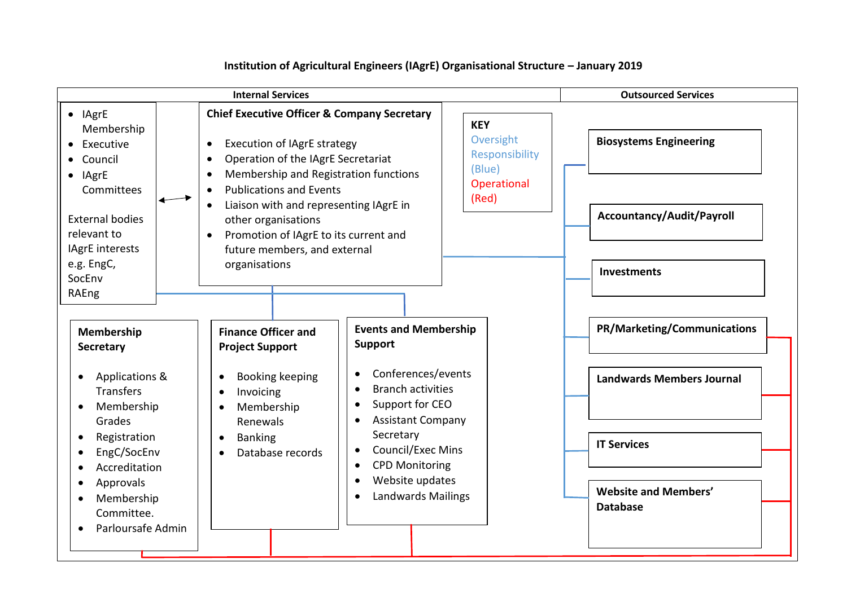#### **Internal Services Outsourced Services Chief Executive Officer & Company Secretary** Execution of IAgrE strategy Operation of the IAgrE Secretariat Membership and Registration functions • Publications and Events Liaison with and representing IAgrE in other organisations • Promotion of IAgrE to its current and future members, and external organisations **Membership Secretary**  Applications & **Transfers** • Membership Grades • Registration • EngC/SocEnv Accreditation Approvals • Membership Committee. • Parloursafe Admin **Events and Membership Support**  Conferences/events • Branch activities • Support for CEO Assistant Company Secretary • Council/Exec Mins CPD Monitoring Website updates • Landwards Mailings **Finance Officer and Project Support** • Booking keeping • Invoicing • Membership Renewals • Banking • Database records **Biosystems Engineering PR/Marketing/Communications Landwards Members Journal IT Services Website and Members' Database Accountancy/Audit/Payroll Investments KEY Oversight** Responsibility (Blue) **Operational** (Red)  $\bullet$  IAgrE Membership • Executive Council  $\bullet$  IAgrE **Committees** External bodies relevant to IAgrE interests e.g. EngC, SocEnv RAEng BEIS, DEFRA

#### **Institution of Agricultural Engineers (IAgrE) Organisational Structure – January 2019**